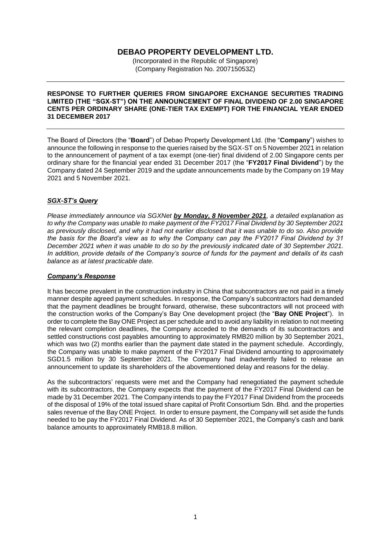## **DEBAO PROPERTY DEVELOPMENT LTD.**

(Incorporated in the Republic of Singapore) (Company Registration No. 200715053Z)

## **RESPONSE TO FURTHER QUERIES FROM SINGAPORE EXCHANGE SECURITIES TRADING LIMITED (THE "SGX-ST") ON THE ANNOUNCEMENT OF FINAL DIVIDEND OF 2.00 SINGAPORE CENTS PER ORDINARY SHARE (ONE-TIER TAX EXEMPT) FOR THE FINANCIAL YEAR ENDED 31 DECEMBER 2017**

The Board of Directors (the "**Board**") of Debao Property Development Ltd. (the "**Company**") wishes to announce the following in response to the queries raised by the SGX-ST on 5 November 2021 in relation to the announcement of payment of a tax exempt (one-tier) final dividend of 2.00 Singapore cents per ordinary share for the financial year ended 31 December 2017 (the "**FY2017 Final Dividend**") by the Company dated 24 September 2019 and the update announcements made by the Company on 19 May 2021 and 5 November 2021.

## *SGX-ST's Query*

*Please immediately announce via SGXNet by Monday, 8 November 2021, a detailed explanation as to why the Company was unable to make payment of the FY2017 Final Dividend by 30 September 2021 as previously disclosed, and why it had not earlier disclosed that it was unable to do so. Also provide the basis for the Board's view as to why the Company can pay the FY2017 Final Dividend by 31 December 2021 when it was unable to do so by the previously indicated date of 30 September 2021. In addition, provide details of the Company's source of funds for the payment and details of its cash balance as at latest practicable date.*

## *Company's Response*

It has become prevalent in the construction industry in China that subcontractors are not paid in a timely manner despite agreed payment schedules. In response, the Company's subcontractors had demanded that the payment deadlines be brought forward, otherwise, these subcontractors will not proceed with the construction works of the Company's Bay One development project (the "**Bay ONE Project**"). In order to complete the Bay ONE Project as per schedule and to avoid any liability in relation to not meeting the relevant completion deadlines, the Company acceded to the demands of its subcontractors and settled constructions cost payables amounting to approximately RMB20 million by 30 September 2021, which was two (2) months earlier than the payment date stated in the payment schedule. Accordingly, the Company was unable to make payment of the FY2017 Final Dividend amounting to approximately SGD1.5 million by 30 September 2021. The Company had inadvertently failed to release an announcement to update its shareholders of the abovementioned delay and reasons for the delay.

As the subcontractors' requests were met and the Company had renegotiated the payment schedule with its subcontractors, the Company expects that the payment of the FY2017 Final Dividend can be made by 31 December 2021. The Company intends to pay the FY2017 Final Dividend from the proceeds of the disposal of 19% of the total issued share capital of Profit Consortium Sdn. Bhd. and the properties sales revenue of the Bay ONE Project. In order to ensure payment, the Company will set aside the funds needed to be pay the FY2017 Final Dividend. As of 30 September 2021, the Company's cash and bank balance amounts to approximately RMB18.8 million.